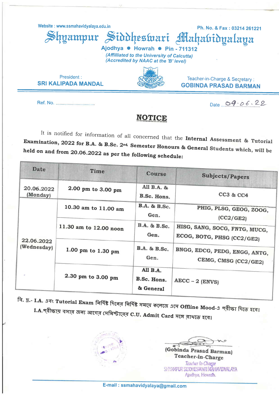Website: www.ssmahavidyalaya.edu.in

Ph. No. & Fax: 03214 261221 Shyampur Siddheswari Mahabidyalaya

Teacher-in-Charge & Secretary:

**GOBINDA PRASAD BARMAN** 

Ajodhya . Howrah . Pin - 711312 (Affilliated to the University of Calcutta) (Accredited by NAAC at the 'B' level)

President: **SRI KALIPADA MANDAL** 

Date 09.06.22

### **NOTICE**

It is notified for information of all concerned that the Internal Assessment & Tutorial Examination, 2022 for B.A. & B.Sc. 2<sup>nd</sup> Semester Honours & General Students which, will be held on and from 20.06.2022 as per the following schedule:

| <b>Date</b>               | Time                   | Course                               | <b>Subjects/Papers</b>                                      |
|---------------------------|------------------------|--------------------------------------|-------------------------------------------------------------|
| 20.06.2022<br>(Monday)    | 2.00 pm to 3.00 pm     | All B.A. &<br>B.Sc. Hons.            | CC3 & CC4                                                   |
| 22.06.2022<br>(Wednesday) | 10.30 am to 11.00 am   | B.A. & B.Sc.<br>Gen.                 | PHIG, PLSG, GEOG, ZOOG,<br>(CC2/GE2)                        |
|                           | 11.30 am to 12.00 noon | B.A. & B.Sc.<br>Gen.                 | HISG, SANG, SOCG, FNTG, MUCG,<br>ECOG, BOTG, PHSG (CC2/GE2) |
|                           | 1.00 pm to 1.30 pm     | B.A. & B.Sc.<br>Gen.                 | BNGG, EDCG, PEDG, ENGG, ANTG,<br>CEMG, CMSG (CC2/GE2)       |
|                           | 2.30 pm to 3.00 pm     | All B.A.<br>B.Sc. Hons.<br>& General | $AECC - 2$ (ENVS)                                           |

বি. দ্র.- I.A. এবং Tutorial Exam নির্দিষ্ট দিনের নির্দিষ্ট সময়ে কলেজে এসে Offline Mood-এ পরীক্ষা দিতে হবে। I.A.পরীক্ষায় বসার জন্য আগের সেমিস্টারের C.U. Admit Card সঙ্গে রাথতে হবে।



(Gobinda Prasad Barman) Teacher-in-Charge Teacher In-Charge SHYAMPUR SIDDHESWARI MAHAVIDYALAYA Ajodhya, Howrah.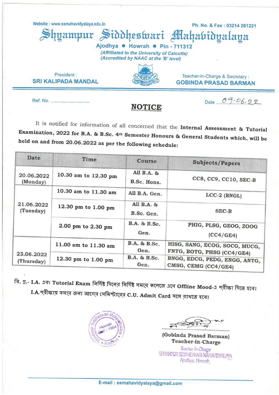Website: www.ssmahavidvalava.edu.in

uamnur

Ph. No. & Fax: 03214 261221 ahabidyalaya

Ajodhya · Howrah · Pin - 711312 (Affilliated to the University of Calcutta) (Accredited by NAAC at the 'B' level)

Siddheswari

President: **SRI KALIPADA MANDAL** 



Teacher-in-Charge & Secretary: **GOBINDA PRASAD BARMAN** 

Ref. No. .......................

#### **NOTICE**

Date  $09.06.22$ 

It is notified for information of all concerned that the Internal Assessment & Tutorial Examination, 2022 for B.A. & B.Sc. 4<sup>th</sup> Semester Honours & General Students which, will be held on and from 20.06.2022 as per the following schedule:

| Date                     | Time                 | <b>Course</b>             | <b>Subjects/Papers</b>                                      |
|--------------------------|----------------------|---------------------------|-------------------------------------------------------------|
| 20.06.2022<br>(Monday)   | 10.30 am to 12.30 pm | All B.A. &<br>B.Sc. Hons. | CC8, CC9, CC10, SEC-B                                       |
| 21.06.2022<br>(Tuesday)  | 10.30 am to 11.30 am | All B.A. Gen.             | $LCC-2$ (BNGL)                                              |
|                          | 12.30 pm to 1.00 pm  | All B.A. &<br>B.Sc. Gen.  | SEC-B                                                       |
|                          | 2.00 pm to 2.30 pm   | B.A. & B.Sc.<br>Gen.      | PHIG, PLSG, GEOG, ZOOG<br>(CC4/GE4)                         |
| 23.06.2022<br>(Thursday) | 11.00 am to 11.30 am | B.A. & B.Sc.<br>Gen.      | HISG, SANG, ECOG, SOCG, MUCG,<br>FNTG, BOTG, PHSG (CC4/GE4) |
|                          | 12.30 pm to 1.00 pm  | B.A. & B.Sc.<br>Gen.      | BNGG, EDCG, PEDG, ENGG, ANTG,<br>CMSG, CEMG (CC4/GE4)       |

বি. দ্র.- I.A. এবং Tutorial Exam নির্দিষ্ট দিনের নির্দিষ্ট সময়ে কলেজে এসে Offline Mood-এ পরীক্ষা দিতে হবে। I.A.পরীক্ষায় বসার জন্য আগের সেমিস্টারের C.U. Admit Card সঙ্গে রাথতে হবে।



(Gobinda Prasad Barman) Teacher-in-Charge

Teacher In-Charge SHYAMPUR SIDDHESWARI MAHAVIDYALAYA Ajodhya, Howrah.